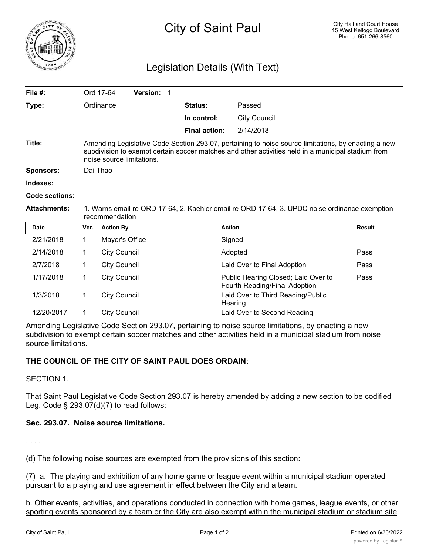

## Legislation Details (With Text)

| File $#$ :            |                                                                                                                                                                                                                                        | Ord 17-64           | Version: 1 |                      |                              |               |  |
|-----------------------|----------------------------------------------------------------------------------------------------------------------------------------------------------------------------------------------------------------------------------------|---------------------|------------|----------------------|------------------------------|---------------|--|
| Type:                 |                                                                                                                                                                                                                                        | Ordinance           |            | <b>Status:</b>       | Passed                       |               |  |
|                       |                                                                                                                                                                                                                                        |                     |            | In control:          | <b>City Council</b>          |               |  |
|                       |                                                                                                                                                                                                                                        |                     |            | <b>Final action:</b> | 2/14/2018                    |               |  |
| Title:                | Amending Legislative Code Section 293.07, pertaining to noise source limitations, by enacting a new<br>subdivision to exempt certain soccer matches and other activities held in a municipal stadium from<br>noise source limitations. |                     |            |                      |                              |               |  |
| <b>Sponsors:</b>      |                                                                                                                                                                                                                                        | Dai Thao            |            |                      |                              |               |  |
| Indexes:              |                                                                                                                                                                                                                                        |                     |            |                      |                              |               |  |
| <b>Code sections:</b> |                                                                                                                                                                                                                                        |                     |            |                      |                              |               |  |
| <b>Attachments:</b>   | 1. Warns email re ORD 17-64, 2. Kaehler email re ORD 17-64, 3. UPDC noise ordinance exemption<br>recommendation                                                                                                                        |                     |            |                      |                              |               |  |
| <b>Date</b>           | Ver.                                                                                                                                                                                                                                   | <b>Action By</b>    |            |                      | <b>Action</b>                | <b>Result</b> |  |
| 2/21/2018             | 1                                                                                                                                                                                                                                      | Mayor's Office      |            |                      | Signed                       |               |  |
| 2/14/2018             | 1.                                                                                                                                                                                                                                     | <b>City Council</b> |            |                      | Adopted                      | Pass          |  |
| 2/7/2018              |                                                                                                                                                                                                                                        | City Council        |            |                      | ∟aid Over to Final Adoption. | Pass          |  |

| 2/7/2018   | <b>City Council</b> | Laid Over to Final Adoption                                          | Pass |
|------------|---------------------|----------------------------------------------------------------------|------|
| 1/17/2018  | City Council        | Public Hearing Closed; Laid Over to<br>Fourth Reading/Final Adoption | Pass |
| 1/3/2018   | City Council        | Laid Over to Third Reading/Public<br>Hearing                         |      |
| 12/20/2017 | City Council        | Laid Over to Second Reading                                          |      |

Amending Legislative Code Section 293.07, pertaining to noise source limitations, by enacting a new subdivision to exempt certain soccer matches and other activities held in a municipal stadium from noise source limitations.

## **THE COUNCIL OF THE CITY OF SAINT PAUL DOES ORDAIN**:

SECTION 1.

That Saint Paul Legislative Code Section 293.07 is hereby amended by adding a new section to be codified Leg. Code § 293.07(d)(7) to read follows:

## **Sec. 293.07. Noise source limitations.**

. . . .

(d) The following noise sources are exempted from the provisions of this section:

(7) a. The playing and exhibition of any home game or league event within a municipal stadium operated pursuant to a playing and use agreement in effect between the City and a team.

b. Other events, activities, and operations conducted in connection with home games, league events, or other sporting events sponsored by a team or the City are also exempt within the municipal stadium or stadium site